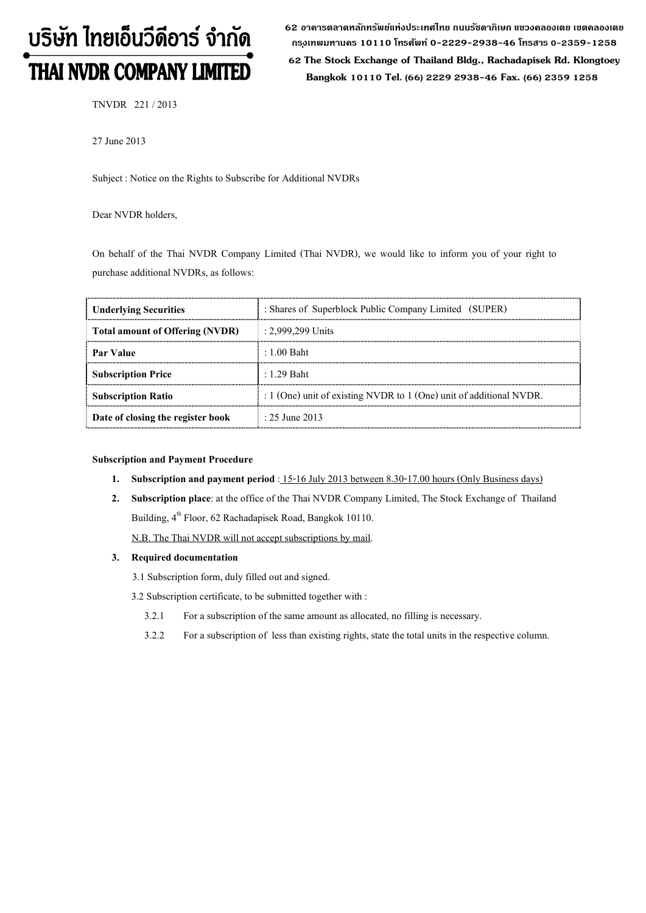# บริษัท ไทยเอ็นวีดีอาร์ จำกัด THAI NVDR COMPANY LIMITED

**62 อาคารตลาดหลักทรัพย์แห่งประเทศไทย ถนนรัชดาภิเษก แขวงคลองเตย เขตคลองเตย กร ุงเทพมหานคร 10110 โทรศัพท์ 0-2229-2938-46 โทรสาร 0-2359-1258**

 **62 The Stock Exchange of Thailand Bldg., Rachadapisek Rd. Klongtoey Bangkok 10110 Tel. (66) 2229 2938-46 Fax. (66) 2359 1258**

TNVDR 221 / 2013

27 June 2013

Subject : Notice on the Rights to Subscribe for Additional NVDRs

Dear NVDR holders,

On behalf of the Thai NVDR Company Limited (Thai NVDR), we would like to inform you of your right to purchase additional NVDRs, as follows:

| <b>Underlying Securities</b>           | : Shares of Superblock Public Company Limited (SUPER)                   |
|----------------------------------------|-------------------------------------------------------------------------|
| <b>Total amount of Offering (NVDR)</b> | $: 2.999,299$ Units                                                     |
| Par Value                              | $\pm 1.00$ Baht.                                                        |
| <b>Subscription Price</b>              | $\pm 1.29$ Baht                                                         |
| <b>Subscription Ratio</b>              | : $1$ (One) unit of existing NVDR to $1$ (One) unit of additional NVDR. |
| Date of closing the register book      | $\pm 25$ June 2013                                                      |

#### **Subscription and Payment Procedure**

- **1. Subscription and payment period** : 15-16 July 2013 between 8.30-17.00 hours (Only Business days)
- **2. Subscription place**: at the office of the Thai NVDR Company Limited, The Stock Exchange of Thailand Building, 4<sup>th</sup> Floor, 62 Rachadapisek Road, Bangkok 10110.

N.B. The Thai NVDR will not accept subscriptions by mail.

**3. Required documentation** 

3.1 Subscription form, duly filled out and signed.

3.2 Subscription certificate, to be submitted together with :

- 3.2.1 For a subscription of the same amount as allocated, no filling is necessary.
- 3.2.2 For a subscription of less than existing rights, state the total units in the respective column.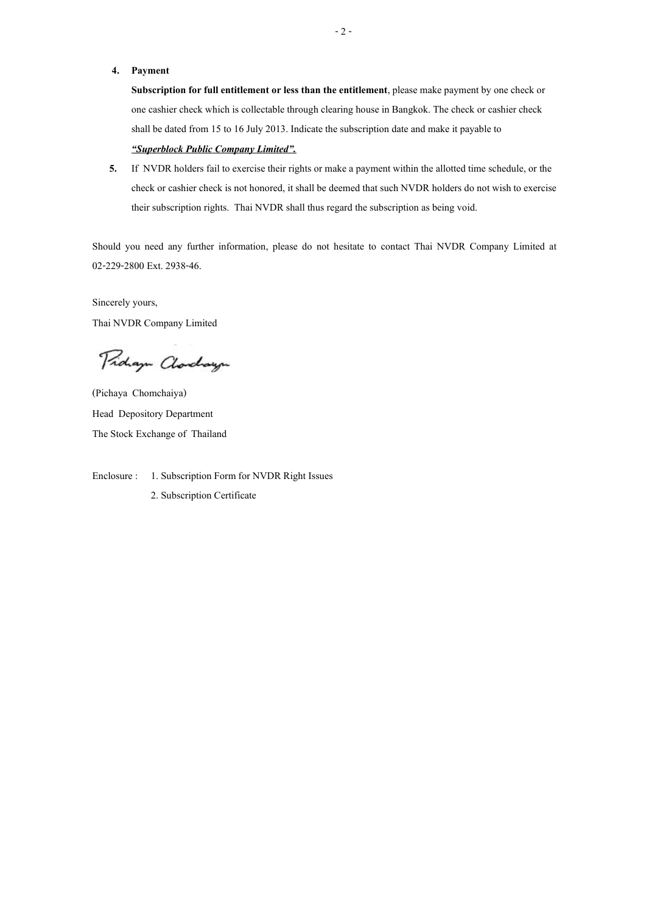## **4. Payment**

**Subscription for full entitlement or less than the entitlement**, please make payment by one check or one cashier check which is collectable through clearing house in Bangkok. The check or cashier check shall be dated from 15 to 16 July 2013. Indicate the subscription date and make it payable to

# *"Superblock Public Company Limited".*

**5.** If NVDR holders fail to exercise their rights or make a payment within the allotted time schedule, or the check or cashier check is not honored, it shall be deemed that such NVDR holders do not wish to exercise their subscription rights. Thai NVDR shall thus regard the subscription as being void.

Should you need any further information, please do not hesitate to contact Thai NVDR Company Limited at 02-229-2800 Ext. 2938-46.

Sincerely yours, Thai NVDR Company Limited

Proham Clarchayn

(Pichaya Chomchaiya) Head Depository Department The Stock Exchange of Thailand

Enclosure : 1. Subscription Form for NVDR Right Issues 2. Subscription Certificate